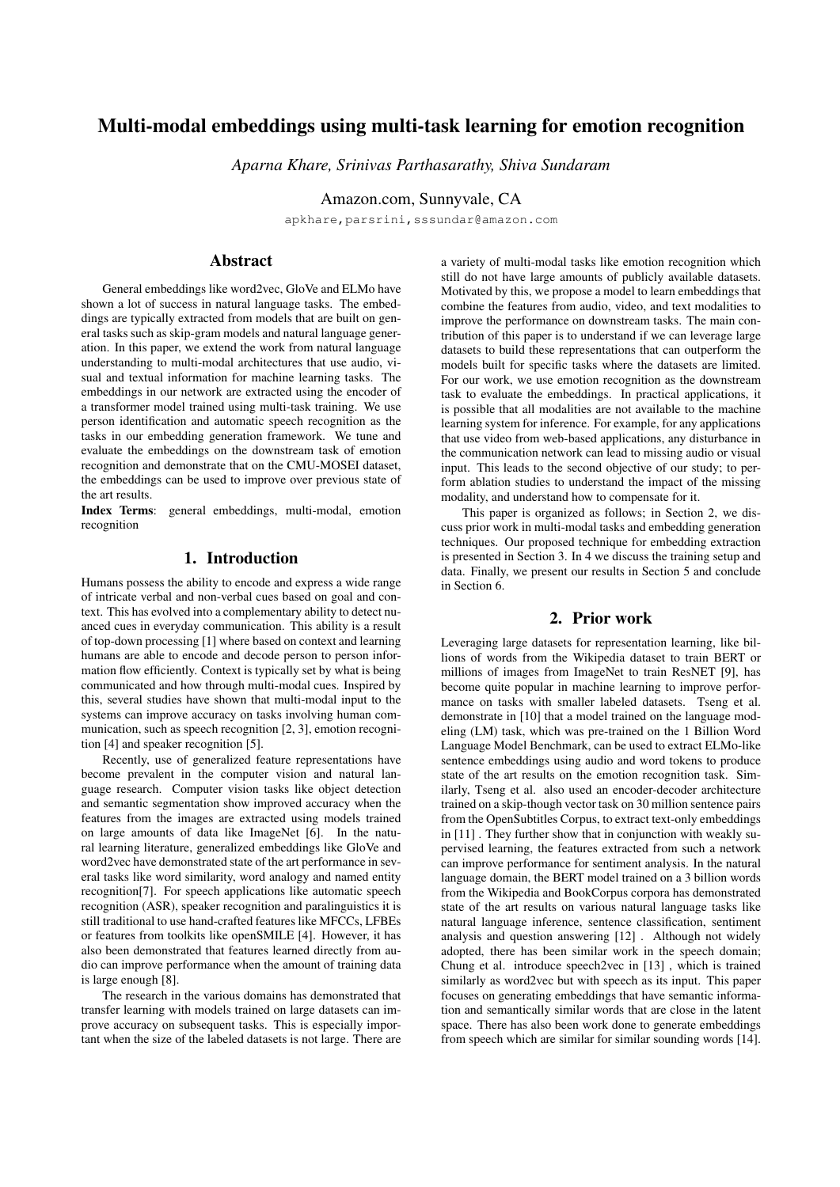# Multi-modal embeddings using multi-task learning for emotion recognition

*Aparna Khare, Srinivas Parthasarathy, Shiva Sundaram*

Amazon.com, Sunnyvale, CA

apkhare,parsrini,sssundar@amazon.com

# Abstract

General embeddings like word2vec, GloVe and ELMo have shown a lot of success in natural language tasks. The embeddings are typically extracted from models that are built on general tasks such as skip-gram models and natural language generation. In this paper, we extend the work from natural language understanding to multi-modal architectures that use audio, visual and textual information for machine learning tasks. The embeddings in our network are extracted using the encoder of a transformer model trained using multi-task training. We use person identification and automatic speech recognition as the tasks in our embedding generation framework. We tune and evaluate the embeddings on the downstream task of emotion recognition and demonstrate that on the CMU-MOSEI dataset, the embeddings can be used to improve over previous state of the art results.

Index Terms: general embeddings, multi-modal, emotion recognition

# 1. Introduction

Humans possess the ability to encode and express a wide range of intricate verbal and non-verbal cues based on goal and context. This has evolved into a complementary ability to detect nuanced cues in everyday communication. This ability is a result of top-down processing [1] where based on context and learning humans are able to encode and decode person to person information flow efficiently. Context is typically set by what is being communicated and how through multi-modal cues. Inspired by this, several studies have shown that multi-modal input to the systems can improve accuracy on tasks involving human communication, such as speech recognition [2, 3], emotion recognition [4] and speaker recognition [5].

Recently, use of generalized feature representations have become prevalent in the computer vision and natural language research. Computer vision tasks like object detection and semantic segmentation show improved accuracy when the features from the images are extracted using models trained on large amounts of data like ImageNet [6]. In the natural learning literature, generalized embeddings like GloVe and word2vec have demonstrated state of the art performance in several tasks like word similarity, word analogy and named entity recognition[7]. For speech applications like automatic speech recognition (ASR), speaker recognition and paralinguistics it is still traditional to use hand-crafted features like MFCCs, LFBEs or features from toolkits like openSMILE [4]. However, it has also been demonstrated that features learned directly from audio can improve performance when the amount of training data is large enough [8].

The research in the various domains has demonstrated that transfer learning with models trained on large datasets can improve accuracy on subsequent tasks. This is especially important when the size of the labeled datasets is not large. There are a variety of multi-modal tasks like emotion recognition which still do not have large amounts of publicly available datasets. Motivated by this, we propose a model to learn embeddings that combine the features from audio, video, and text modalities to improve the performance on downstream tasks. The main contribution of this paper is to understand if we can leverage large datasets to build these representations that can outperform the models built for specific tasks where the datasets are limited. For our work, we use emotion recognition as the downstream task to evaluate the embeddings. In practical applications, it is possible that all modalities are not available to the machine learning system for inference. For example, for any applications that use video from web-based applications, any disturbance in the communication network can lead to missing audio or visual input. This leads to the second objective of our study; to perform ablation studies to understand the impact of the missing modality, and understand how to compensate for it.

This paper is organized as follows; in Section 2, we discuss prior work in multi-modal tasks and embedding generation techniques. Our proposed technique for embedding extraction is presented in Section 3. In 4 we discuss the training setup and data. Finally, we present our results in Section 5 and conclude in Section 6.

## 2. Prior work

Leveraging large datasets for representation learning, like billions of words from the Wikipedia dataset to train BERT or millions of images from ImageNet to train ResNET [9], has become quite popular in machine learning to improve performance on tasks with smaller labeled datasets. Tseng et al. demonstrate in [10] that a model trained on the language modeling (LM) task, which was pre-trained on the 1 Billion Word Language Model Benchmark, can be used to extract ELMo-like sentence embeddings using audio and word tokens to produce state of the art results on the emotion recognition task. Similarly, Tseng et al. also used an encoder-decoder architecture trained on a skip-though vector task on 30 million sentence pairs from the OpenSubtitles Corpus, to extract text-only embeddings in [11] . They further show that in conjunction with weakly supervised learning, the features extracted from such a network can improve performance for sentiment analysis. In the natural language domain, the BERT model trained on a 3 billion words from the Wikipedia and BookCorpus corpora has demonstrated state of the art results on various natural language tasks like natural language inference, sentence classification, sentiment analysis and question answering [12] . Although not widely adopted, there has been similar work in the speech domain; Chung et al. introduce speech2vec in [13] , which is trained similarly as word2vec but with speech as its input. This paper focuses on generating embeddings that have semantic information and semantically similar words that are close in the latent space. There has also been work done to generate embeddings from speech which are similar for similar sounding words [14].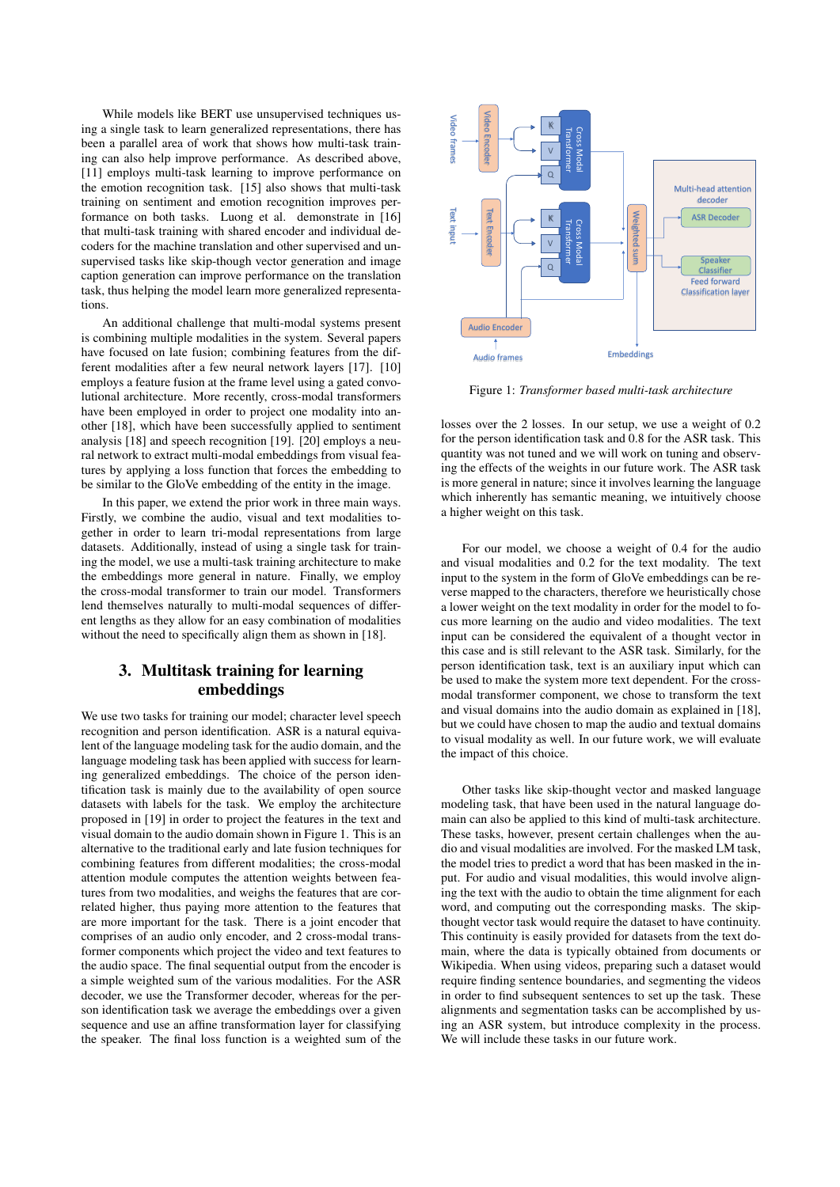While models like BERT use unsupervised techniques using a single task to learn generalized representations, there has been a parallel area of work that shows how multi-task training can also help improve performance. As described above, [11] employs multi-task learning to improve performance on the emotion recognition task. [15] also shows that multi-task training on sentiment and emotion recognition improves performance on both tasks. Luong et al. demonstrate in [16] that multi-task training with shared encoder and individual decoders for the machine translation and other supervised and unsupervised tasks like skip-though vector generation and image caption generation can improve performance on the translation task, thus helping the model learn more generalized representations.

An additional challenge that multi-modal systems present is combining multiple modalities in the system. Several papers have focused on late fusion; combining features from the different modalities after a few neural network layers [17]. [10] employs a feature fusion at the frame level using a gated convolutional architecture. More recently, cross-modal transformers have been employed in order to project one modality into another [18], which have been successfully applied to sentiment analysis [18] and speech recognition [19]. [20] employs a neural network to extract multi-modal embeddings from visual features by applying a loss function that forces the embedding to be similar to the GloVe embedding of the entity in the image.

In this paper, we extend the prior work in three main ways. Firstly, we combine the audio, visual and text modalities together in order to learn tri-modal representations from large datasets. Additionally, instead of using a single task for training the model, we use a multi-task training architecture to make the embeddings more general in nature. Finally, we employ the cross-modal transformer to train our model. Transformers lend themselves naturally to multi-modal sequences of different lengths as they allow for an easy combination of modalities without the need to specifically align them as shown in [18].

# 3. Multitask training for learning embeddings

We use two tasks for training our model; character level speech recognition and person identification. ASR is a natural equivalent of the language modeling task for the audio domain, and the language modeling task has been applied with success for learning generalized embeddings. The choice of the person identification task is mainly due to the availability of open source datasets with labels for the task. We employ the architecture proposed in [19] in order to project the features in the text and visual domain to the audio domain shown in Figure 1. This is an alternative to the traditional early and late fusion techniques for combining features from different modalities; the cross-modal attention module computes the attention weights between features from two modalities, and weighs the features that are correlated higher, thus paying more attention to the features that are more important for the task. There is a joint encoder that comprises of an audio only encoder, and 2 cross-modal transformer components which project the video and text features to the audio space. The final sequential output from the encoder is a simple weighted sum of the various modalities. For the ASR decoder, we use the Transformer decoder, whereas for the person identification task we average the embeddings over a given sequence and use an affine transformation layer for classifying the special constrained in the special constrained sum of the final loss function is a special constrained sum of the final loss function is a weighted sum of the Transformer Cross Towards (19) (1) (1) (1) (1) (1) (1) (1)



Figure 1: *Transformer based multi-task architecture*

losses over the 2 losses. In our setup, we use a weight of 0.2 for the person identification task and 0.8 for the ASR task. This quantity was not tuned and we will work on tuning and observing the effects of the weights in our future work. The ASR task is more general in nature; since it involves learning the language which inherently has semantic meaning, we intuitively choose a higher weight on this task.

For our model, we choose a weight of 0.4 for the audio and visual modalities and 0.2 for the text modality. The text input to the system in the form of GloVe embeddings can be reverse mapped to the characters, therefore we heuristically chose a lower weight on the text modality in order for the model to focus more learning on the audio and video modalities. The text input can be considered the equivalent of a thought vector in this case and is still relevant to the ASR task. Similarly, for the person identification task, text is an auxiliary input which can be used to make the system more text dependent. For the crossmodal transformer component, we chose to transform the text and visual domains into the audio domain as explained in [18], but we could have chosen to map the audio and textual domains to visual modality as well. In our future work, we will evaluate the impact of this choice.

Other tasks like skip-thought vector and masked language modeling task, that have been used in the natural language domain can also be applied to this kind of multi-task architecture. These tasks, however, present certain challenges when the audio and visual modalities are involved. For the masked LM task, the model tries to predict a word that has been masked in the input. For audio and visual modalities, this would involve aligning the text with the audio to obtain the time alignment for each word, and computing out the corresponding masks. The skipthought vector task would require the dataset to have continuity. This continuity is easily provided for datasets from the text domain, where the data is typically obtained from documents or Wikipedia. When using videos, preparing such a dataset would require finding sentence boundaries, and segmenting the videos in order to find subsequent sentences to set up the task. These alignments and segmentation tasks can be accomplished by using an ASR system, but introduce complexity in the process. We will include these tasks in our future work.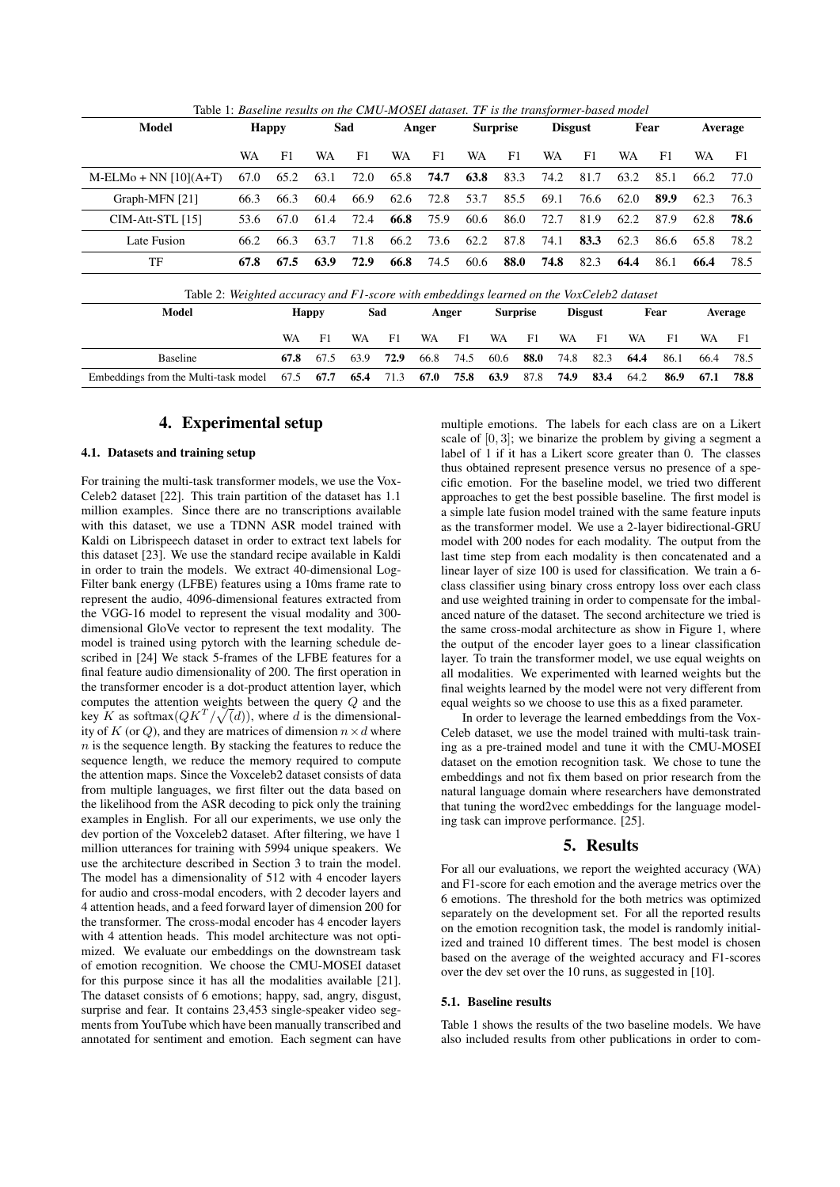| Model                                                                                    | <b>Happy</b> |              | Sad  |           | Anger |       |                | <b>Surprise</b> |      | <b>Disgust</b> |      | Fear |      | <b>Average</b> |      |
|------------------------------------------------------------------------------------------|--------------|--------------|------|-----------|-------|-------|----------------|-----------------|------|----------------|------|------|------|----------------|------|
|                                                                                          | WA           | F1           | WA   | F1        | WA    | F1    | WA             |                 | F1   | WA             | F1   | WA   | F1   | WA             | F1   |
| $M-ELMo + NN [10](A+T)$                                                                  | 67.0         | 65.2         | 63.1 | 72.0      | 65.8  | 74.7  | 63.8           |                 | 83.3 | 74.2           | 81.7 | 63.2 | 85.1 | 66.2           | 77.0 |
| Graph-MFN [21]                                                                           | 66.3         | 66.3         | 60.4 | 66.9      | 62.6  | 72.8  | 53.7           |                 | 85.5 | 69.1           | 76.6 | 62.0 | 89.9 | 62.3           | 76.3 |
| $CIM-Att-STL[15]$                                                                        | 53.6         | 67.0         | 61.4 | 72.4      | 66.8  | 75.9  | 60.6           |                 | 86.0 | 72.7           | 81.9 | 62.2 | 87.9 | 62.8           | 78.6 |
| Late Fusion                                                                              | 66.2         | 66.3         | 63.7 | 71.8      | 66.2  | 73.6  | 62.2           |                 | 87.8 | 74.1           | 83.3 | 62.3 | 86.6 | 65.8           | 78.2 |
| TF                                                                                       | 67.8         | 67.5         | 63.9 | 72.9      | 66.8  | 74.5  | 60.6           |                 | 88.0 | 74.8           | 82.3 | 64.4 | 86.1 | 66.4           | 78.5 |
| Table 2: Weighted accuracy and F1-score with embeddings learned on the VoxCeleb2 dataset |              |              |      |           |       |       |                |                 |      |                |      |      |      |                |      |
| Model                                                                                    |              | <b>Happy</b> |      | Sad       |       | Anger |                | <b>Surprise</b> |      | <b>Disgust</b> |      | Fear |      | Average        |      |
|                                                                                          |              | WA           | F1   | <b>WA</b> | F1    | WA    | F <sub>1</sub> | WA              | F1   | WA             | F1   | WA   | F1   | WA             | F1   |
| <b>Baseline</b>                                                                          |              | 67.8         | 67.5 | 63.9      | 72.9  | 66.8  | 74.5           | 60.6            | 88.0 | 74.8           | 82.3 | 64.4 | 86.1 | 66.4           | 78.5 |
| Embeddings from the Multi-task model                                                     |              | 67.5         | 67.7 | 65.4      | 71.3  | 67.0  | 75.8           | 63.9            | 87.8 | 74.9           | 83.4 | 64.2 | 86.9 | 67.1           | 78.8 |

Table 1: *Baseline results on the CMU-MOSEI dataset. TF is the transformer-based model*

# 4. Experimental setup

#### 4.1. Datasets and training setup

For training the multi-task transformer models, we use the Vox-Celeb2 dataset [22]. This train partition of the dataset has 1.1 million examples. Since there are no transcriptions available with this dataset, we use a TDNN ASR model trained with Kaldi on Librispeech dataset in order to extract text labels for this dataset [23]. We use the standard recipe available in Kaldi in order to train the models. We extract 40-dimensional Log-Filter bank energy (LFBE) features using a 10ms frame rate to represent the audio, 4096-dimensional features extracted from the VGG-16 model to represent the visual modality and 300 dimensional GloVe vector to represent the text modality. The model is trained using pytorch with the learning schedule described in [24] We stack 5-frames of the LFBE features for a final feature audio dimensionality of 200. The first operation in the transformer encoder is a dot-product attention layer, which computes the attention weights between the query Q and the key K as softmax $\left(QK^T/\sqrt(d)\right)$ , where d is the dimensionality of K (or Q), and they are matrices of dimension  $n \times d$  where  $n$  is the sequence length. By stacking the features to reduce the sequence length, we reduce the memory required to compute the attention maps. Since the Voxceleb2 dataset consists of data from multiple languages, we first filter out the data based on the likelihood from the ASR decoding to pick only the training examples in English. For all our experiments, we use only the dev portion of the Voxceleb2 dataset. After filtering, we have 1 million utterances for training with 5994 unique speakers. We use the architecture described in Section 3 to train the model. The model has a dimensionality of 512 with 4 encoder layers for audio and cross-modal encoders, with 2 decoder layers and 4 attention heads, and a feed forward layer of dimension 200 for the transformer. The cross-modal encoder has 4 encoder layers with 4 attention heads. This model architecture was not optimized. We evaluate our embeddings on the downstream task of emotion recognition. We choose the CMU-MOSEI dataset for this purpose since it has all the modalities available [21]. The dataset consists of 6 emotions; happy, sad, angry, disgust, surprise and fear. It contains 23,453 single-speaker video segments from YouTube which have been manually transcribed and annotated for sentiment and emotion. Each segment can have multiple emotions. The labels for each class are on a Likert scale of  $[0, 3]$ ; we binarize the problem by giving a segment a label of 1 if it has a Likert score greater than 0. The classes thus obtained represent presence versus no presence of a specific emotion. For the baseline model, we tried two different approaches to get the best possible baseline. The first model is a simple late fusion model trained with the same feature inputs as the transformer model. We use a 2-layer bidirectional-GRU model with 200 nodes for each modality. The output from the last time step from each modality is then concatenated and a linear layer of size 100 is used for classification. We train a 6 class classifier using binary cross entropy loss over each class and use weighted training in order to compensate for the imbalanced nature of the dataset. The second architecture we tried is the same cross-modal architecture as show in Figure 1, where the output of the encoder layer goes to a linear classification layer. To train the transformer model, we use equal weights on all modalities. We experimented with learned weights but the final weights learned by the model were not very different from equal weights so we choose to use this as a fixed parameter.

In order to leverage the learned embeddings from the Vox-Celeb dataset, we use the model trained with multi-task training as a pre-trained model and tune it with the CMU-MOSEI dataset on the emotion recognition task. We chose to tune the embeddings and not fix them based on prior research from the natural language domain where researchers have demonstrated that tuning the word2vec embeddings for the language modeling task can improve performance. [25].

### 5. Results

For all our evaluations, we report the weighted accuracy (WA) and F1-score for each emotion and the average metrics over the 6 emotions. The threshold for the both metrics was optimized separately on the development set. For all the reported results on the emotion recognition task, the model is randomly initialized and trained 10 different times. The best model is chosen based on the average of the weighted accuracy and F1-scores over the dev set over the 10 runs, as suggested in [10].

### 5.1. Baseline results

Table 1 shows the results of the two baseline models. We have also included results from other publications in order to com-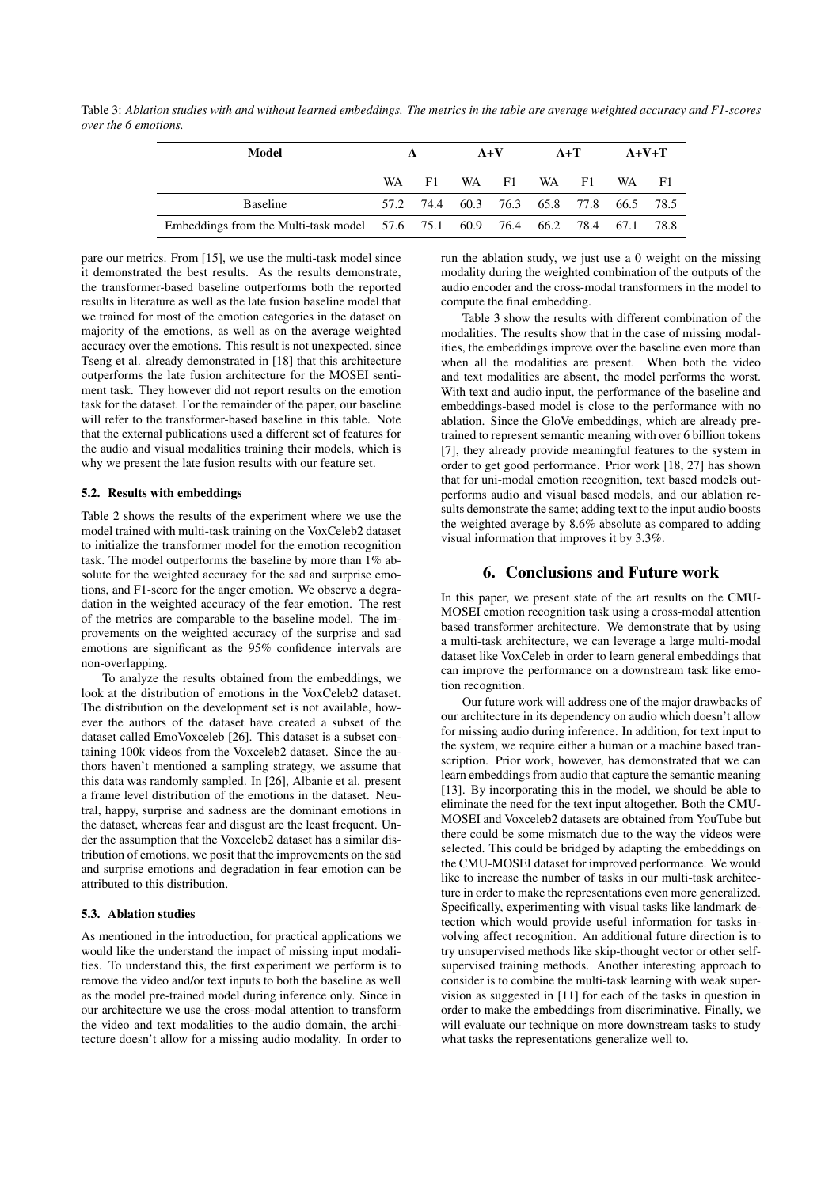Table 3: *Ablation studies with and without learned embeddings. The metrics in the table are average weighted accuracy and F1-scores over the 6 emotions.*

| Model                                                                        |     | A   |  | $A+V$                                   | $A+T$ |       | $A+V+T$ |  |
|------------------------------------------------------------------------------|-----|-----|--|-----------------------------------------|-------|-------|---------|--|
|                                                                              | WA. | F1. |  | WA F1                                   |       | WA F1 | WA F1   |  |
| <b>Baseline</b>                                                              |     |     |  | 57.2 74.4 60.3 76.3 65.8 77.8 66.5 78.5 |       |       |         |  |
| Embeddings from the Multi-task model 57.6 75.1 60.9 76.4 66.2 78.4 67.1 78.8 |     |     |  |                                         |       |       |         |  |

pare our metrics. From [15], we use the multi-task model since it demonstrated the best results. As the results demonstrate, the transformer-based baseline outperforms both the reported results in literature as well as the late fusion baseline model that we trained for most of the emotion categories in the dataset on majority of the emotions, as well as on the average weighted accuracy over the emotions. This result is not unexpected, since Tseng et al. already demonstrated in [18] that this architecture outperforms the late fusion architecture for the MOSEI sentiment task. They however did not report results on the emotion task for the dataset. For the remainder of the paper, our baseline will refer to the transformer-based baseline in this table. Note that the external publications used a different set of features for the audio and visual modalities training their models, which is why we present the late fusion results with our feature set.

#### 5.2. Results with embeddings

Table 2 shows the results of the experiment where we use the model trained with multi-task training on the VoxCeleb2 dataset to initialize the transformer model for the emotion recognition task. The model outperforms the baseline by more than 1% absolute for the weighted accuracy for the sad and surprise emotions, and F1-score for the anger emotion. We observe a degradation in the weighted accuracy of the fear emotion. The rest of the metrics are comparable to the baseline model. The improvements on the weighted accuracy of the surprise and sad emotions are significant as the 95% confidence intervals are non-overlapping.

To analyze the results obtained from the embeddings, we look at the distribution of emotions in the VoxCeleb2 dataset. The distribution on the development set is not available, however the authors of the dataset have created a subset of the dataset called EmoVoxceleb [26]. This dataset is a subset containing 100k videos from the Voxceleb2 dataset. Since the authors haven't mentioned a sampling strategy, we assume that this data was randomly sampled. In [26], Albanie et al. present a frame level distribution of the emotions in the dataset. Neutral, happy, surprise and sadness are the dominant emotions in the dataset, whereas fear and disgust are the least frequent. Under the assumption that the Voxceleb2 dataset has a similar distribution of emotions, we posit that the improvements on the sad and surprise emotions and degradation in fear emotion can be attributed to this distribution.

#### 5.3. Ablation studies

As mentioned in the introduction, for practical applications we would like the understand the impact of missing input modalities. To understand this, the first experiment we perform is to remove the video and/or text inputs to both the baseline as well as the model pre-trained model during inference only. Since in our architecture we use the cross-modal attention to transform the video and text modalities to the audio domain, the architecture doesn't allow for a missing audio modality. In order to run the ablation study, we just use a 0 weight on the missing modality during the weighted combination of the outputs of the audio encoder and the cross-modal transformers in the model to compute the final embedding.

Table 3 show the results with different combination of the modalities. The results show that in the case of missing modalities, the embeddings improve over the baseline even more than when all the modalities are present. When both the video and text modalities are absent, the model performs the worst. With text and audio input, the performance of the baseline and embeddings-based model is close to the performance with no ablation. Since the GloVe embeddings, which are already pretrained to represent semantic meaning with over 6 billion tokens [7], they already provide meaningful features to the system in order to get good performance. Prior work [18, 27] has shown that for uni-modal emotion recognition, text based models outperforms audio and visual based models, and our ablation results demonstrate the same; adding text to the input audio boosts the weighted average by 8.6% absolute as compared to adding visual information that improves it by 3.3%.

# 6. Conclusions and Future work

In this paper, we present state of the art results on the CMU-MOSEI emotion recognition task using a cross-modal attention based transformer architecture. We demonstrate that by using a multi-task architecture, we can leverage a large multi-modal dataset like VoxCeleb in order to learn general embeddings that can improve the performance on a downstream task like emotion recognition.

Our future work will address one of the major drawbacks of our architecture in its dependency on audio which doesn't allow for missing audio during inference. In addition, for text input to the system, we require either a human or a machine based transcription. Prior work, however, has demonstrated that we can learn embeddings from audio that capture the semantic meaning [13]. By incorporating this in the model, we should be able to eliminate the need for the text input altogether. Both the CMU-MOSEI and Voxceleb2 datasets are obtained from YouTube but there could be some mismatch due to the way the videos were selected. This could be bridged by adapting the embeddings on the CMU-MOSEI dataset for improved performance. We would like to increase the number of tasks in our multi-task architecture in order to make the representations even more generalized. Specifically, experimenting with visual tasks like landmark detection which would provide useful information for tasks involving affect recognition. An additional future direction is to try unsupervised methods like skip-thought vector or other selfsupervised training methods. Another interesting approach to consider is to combine the multi-task learning with weak supervision as suggested in [11] for each of the tasks in question in order to make the embeddings from discriminative. Finally, we will evaluate our technique on more downstream tasks to study what tasks the representations generalize well to.